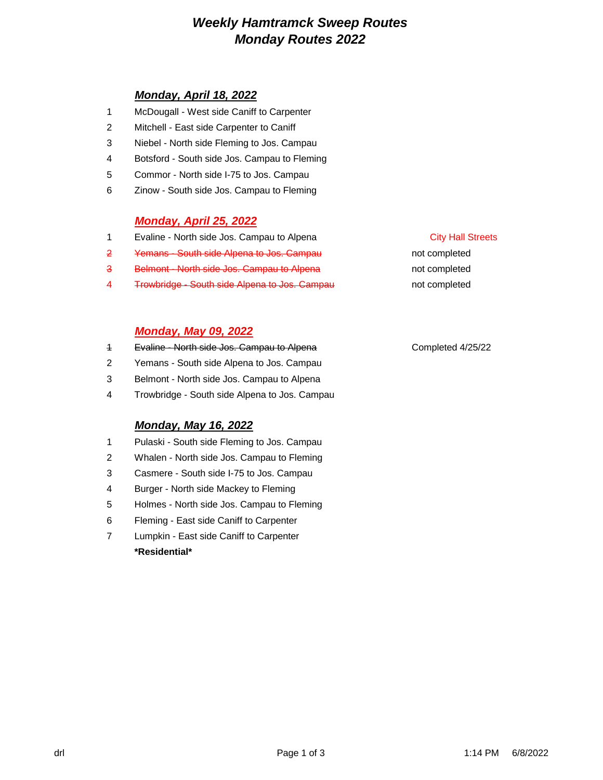# *Weekly Hamtramck Sweep Routes Monday Routes 2022*

# *Monday, April 18, 2022*

- 1 McDougall West side Caniff to Carpenter
- 2 Mitchell East side Carpenter to Caniff
- 3 Niebel North side Fleming to Jos. Campau
- 4 Botsford South side Jos. Campau to Fleming
- 5 Commor North side I-75 to Jos. Campau
- 6 Zinow South side Jos. Campau to Fleming

## *Monday, April 25, 2022*

- 1 Evaline North side Jos. Campau to Alpena City Hall Streets
- 2 Yemans South side Alpena to Jos. Campau **notices** not completed
- 3 Belmont North side Jos. Campau to Alpena not completed not completed
- 4 Trowbridge South side Alpena to Jos. Campau not completed

## *Monday, May 09, 2022*

- 1 Evaline North side Jos. Campau to Alpena Completed 4/25/22
- 2 Yemans South side Alpena to Jos. Campau
- 3 Belmont North side Jos. Campau to Alpena
- 4 Trowbridge South side Alpena to Jos. Campau

# *Monday, May 16, 2022*

- 1 Pulaski South side Fleming to Jos. Campau
- 2 Whalen North side Jos. Campau to Fleming
- 3 Casmere South side I-75 to Jos. Campau
- 4 Burger North side Mackey to Fleming
- 5 Holmes North side Jos. Campau to Fleming
- 6 Fleming East side Caniff to Carpenter
- 7 Lumpkin East side Caniff to Carpenter **\*Residential\***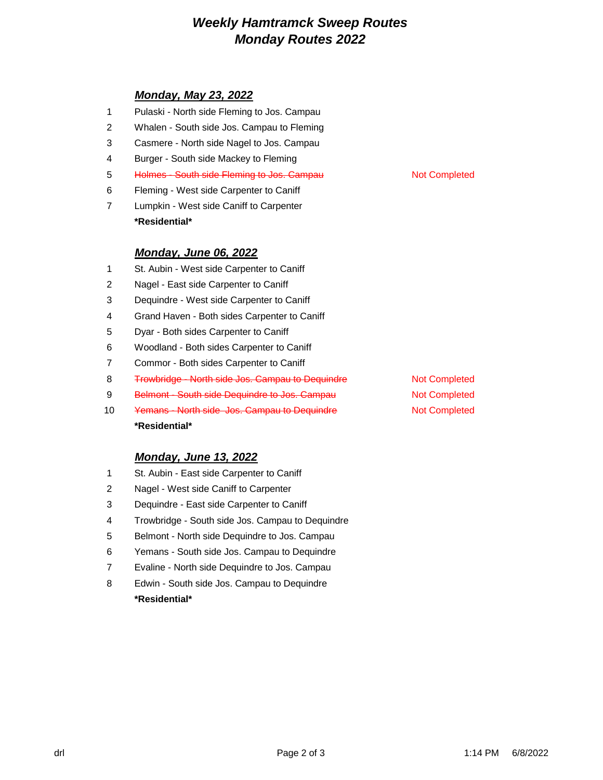# *Weekly Hamtramck Sweep Routes Monday Routes 2022*

# *Monday, May 23, 2022*

- Pulaski North side Fleming to Jos. Campau
- Whalen South side Jos. Campau to Fleming
- Casmere North side Nagel to Jos. Campau
- Burger South side Mackey to Fleming
- 5 Holmes South side Fleming to Jos. Campau Not Completed
- Fleming West side Carpenter to Caniff
- Lumpkin West side Caniff to Carpenter **\*Residential\***

## *Monday, June 06, 2022*

- St. Aubin West side Carpenter to Caniff
- Nagel East side Carpenter to Caniff
- Dequindre West side Carpenter to Caniff
- Grand Haven Both sides Carpenter to Caniff
- Dyar Both sides Carpenter to Caniff
- Woodland Both sides Carpenter to Caniff
- Commor Both sides Carpenter to Caniff
- 8 Trowbridge North side Jos. Campau to Dequindre Not Completed
- 9 Belmont South side Dequindre to Jos. Campau Not Completed
- 10 Yemans North side Jos. Campau to Dequindre Not Completed **\*Residential\***

## *Monday, June 13, 2022*

- St. Aubin East side Carpenter to Caniff
- Nagel West side Caniff to Carpenter
- Dequindre East side Carpenter to Caniff
- Trowbridge South side Jos. Campau to Dequindre
- Belmont North side Dequindre to Jos. Campau
- Yemans South side Jos. Campau to Dequindre
- Evaline North side Dequindre to Jos. Campau
- Edwin South side Jos. Campau to Dequindre **\*Residential\***